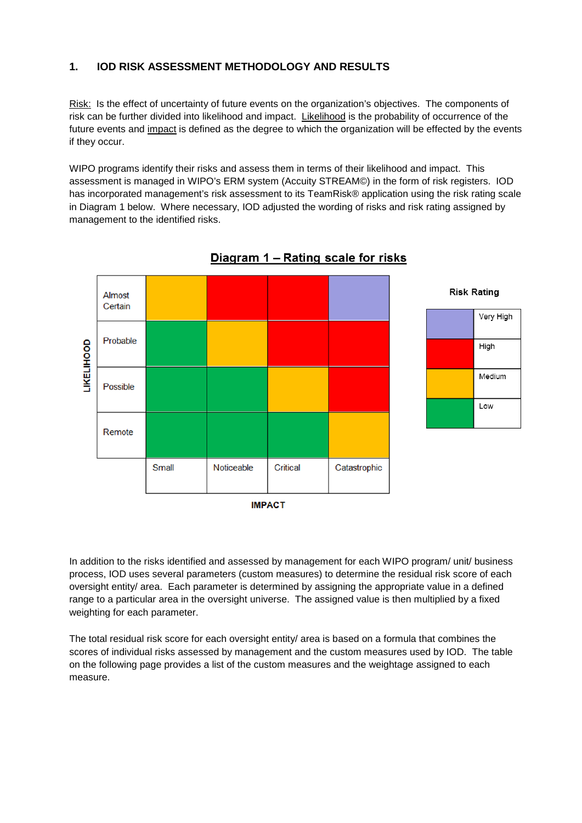## **1. IOD RISK ASSESSMENT METHODOLOGY AND RESULTS**

Risk: Is the effect of uncertainty of future events on the organization's objectives. The components of risk can be further divided into likelihood and impact. Likelihood is the probability of occurrence of the future events and impact is defined as the degree to which the organization will be effected by the events if they occur.

WIPO programs identify their risks and assess them in terms of their likelihood and impact. This assessment is managed in WIPO's ERM system (Accuity STREAM©) in the form of risk registers. IOD has incorporated management's risk assessment to its TeamRisk® application using the risk rating scale in Diagram 1 below. Where necessary, IOD adjusted the wording of risks and risk rating assigned by management to the identified risks.



## Diagram 1 - Rating scale for risks



In addition to the risks identified and assessed by management for each WIPO program/ unit/ business process, IOD uses several parameters (custom measures) to determine the residual risk score of each oversight entity/ area. Each parameter is determined by assigning the appropriate value in a defined range to a particular area in the oversight universe. The assigned value is then multiplied by a fixed weighting for each parameter.

The total residual risk score for each oversight entity/ area is based on a formula that combines the scores of individual risks assessed by management and the custom measures used by IOD. The table on the following page provides a list of the custom measures and the weightage assigned to each measure.